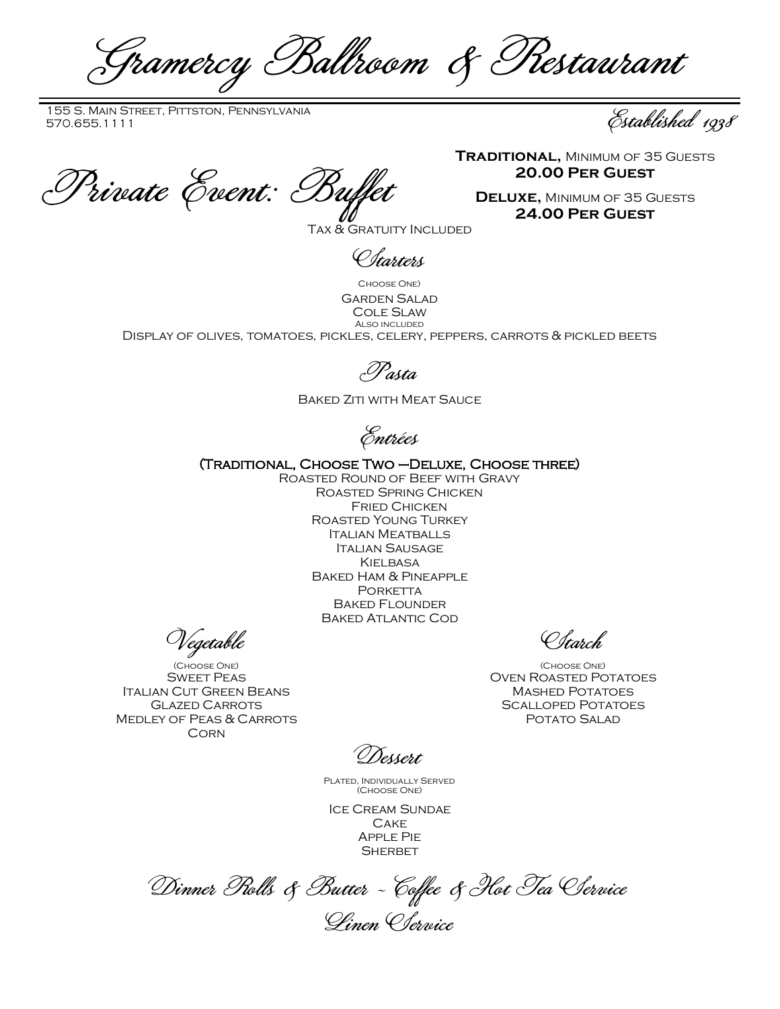Gramercy Ballroom & Restaurant

155 S. Main Street, Pittston, Pennsylvania 155 S. MAIN STREET, PITTSTON, PENNSYLVANIA<br>570.655.1111 Established 1938

Private Event: Buffet

**Traditional,** Minimum of 35 Guests **20.00 Per Guest**

**Deluxe,** Minimum of 35 Guests **24.00 Per Guest**

Tax & Gratuity Included

*Charters* 

Choose One) Garden Salad Cole Slaw Also included Display of olives, tomatoes, pickles, celery, peppers, carrots & pickled beets

Pasta

Baked Ziti with Meat Sauce

Entrées

(Traditional, Choose Two –Deluxe, Choose three)

Roasted Round of Beef with Gravy Roasted Spring Chicken Fried Chicken Roasted Young Turkey Italian Meatballs Italian Sausage **KIELBASA** Baked Ham & Pineapple PORKETTA Baked Flounder Baked Atlantic Cod

Vegetable

(Choose One) Sweet Peas Italian Cut Green Beans Glazed Carrots Medley of Peas & Carrots **CORN** 

Starch

(Choose One) Oven Roasted Potatoes Mashed Potatoes Scalloped Potatoes POTATO SALAD

Dessert

Plated, Individually Served (Choose One)

Ice Cream Sundae **CAKE** Apple Pie **SHERBET** 

Dinner Rolls & Butter ~ Coffee & Hot Tea Service Linen Service